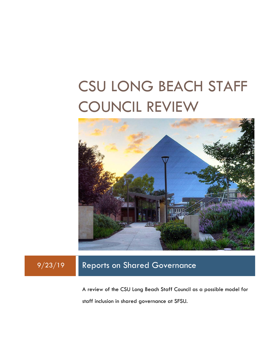# CSU LONG BEACH STAFF COUNCIL REVIEW



## 9/23/19 Reports on Shared Governance

A review of the CSU Long Beach Staff Council as a possible model for staff inclusion in shared governance at SFSU.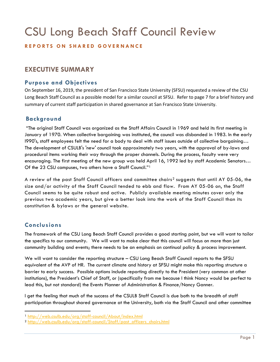## CSU Long Beach Staff Council Review

## **REPORTS ON SHARED GO VERNANCE**

## **EXECUTIVE SUMMARY**

## **Purpose and Objectives**

On September 16, 2019, the president of San Francisco State University (SFSU) requested a review of the CSU Long Beach Staff Council as a possible model for a similar council at SFSU. Refer to page 7 for a brief history and summary of current staff participation in shared governance at San Francisco State University.

## **Background**

"The original Staff Council was organized as the Staff Affairs Council in 1969 and held its first meeting in January of 1970. When collective bargaining was instituted, the council was disbanded in 1983. In the early l990's, staff employees felt the need for a body to deal with staff issues outside of collective bargaining… The development of CSULB's 'new' council took approximately two years, with the approval of by-laws and procedural items working their way through the proper channels. During the process, faculty were very encouraging. The first meeting of the new group was held April 16, 1992 led by staff Academic Senators… Of the 23 CSU campuses, two others have a Staff Council."[1](#page-1-0)

A review of the past Staff Council officers and committee chairs<sup>[2](#page-1-1)</sup> suggests that until AY 05-06, the size and/or activity of the Staff Council tended to ebb and flow. From AY 05-06 on, the Staff Council seems to be quite robust and active. Publicly available meeting minutes cover only the previous two academic years, but give a better look into the work of the Staff Council than its constitution & bylaws or the general website.

## **Conclusions**

The framework of the CSU Long Beach Staff Council provides a good starting point, but we will want to tailor the specifics to our community. We will want to make clear that this council will focus on more than just community building and events; there needs to be an emphasis on continual policy & process improvement.

We will want to consider the reporting structure – CSU Long Beach Staff Council reports to the SFSU equivalent of the AVP of HR. The current climate and history at SFSU might make this reporting structure a barrier to early success. Possible options include reporting directly to the President (very common at other institutions), the President's Chief of Staff, or (specifically from me because I think Nancy would be perfect to lead this, but not standard) the Events Planner of Administration & Finance/Nancy Ganner.

I get the feeling that much of the success of the CSULB Staff Council is due both to the breadth of staff participation throughout shared governance at the University, both via the Staff Council and other committee

<span id="page-1-0"></span> <sup>1</sup> <http://web.csulb.edu/org/staff-council/About/index.html>

<span id="page-1-1"></span><sup>2</sup> [http://web.csulb.edu/org/staff-council/Staff/past\\_officers\\_chairs.html](http://web.csulb.edu/org/staff-council/Staff/past_officers_chairs.html)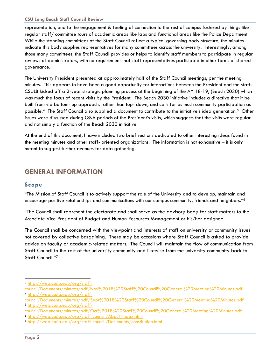#### **CSU Long Beach Staff Council Review**

representation, and to the engagement & feeling of connection to the rest of campus fostered by things like regular staff/ committee tours of academic areas like labs and functional areas like the Police Department. While the standing committees of the Staff Council reflect a typical governing body structure, the minutes indicate this body supplies representatives for many committees across the university. Interestingly, among those many committees, the Staff Council provides or helps to identify staff members to participate in regular reviews of administrators, with no requirement that staff representatives participate in other forms of shared governance.[3](#page-2-0) 

The University President presented at approximately half of the Staff Council meetings, per the meeting minutes. This appears to have been a good opportunity for interactions between the President and the staff. CSULB kicked off a 2-year strategic planning process at the beginning of the AY 18-19, (Beach 2030) which was much the focus of recent visits by the President. The Beach 2030 initiative includes a directive that it be built from via bottom- up approach, rather than top- down, and calls for as much community participation as possible.[4](#page-2-1) The Staff Council also supplied a document to contribute to the initiative's idea generation.[5](#page-2-2) Other issues were discussed during Q&A periods of the President's visits, which suggests that the visits were regular and not simply a function of the Beach 2030 initiative.

At the end of this document, I have included two brief sections dedicated to other interesting ideas found in the meeting minutes and other staff- oriented organizations. The information is not exhaustive – it is only meant to suggest further avenues for data gathering.

## **GENERAL INFORMATION**

### **Scope**

"The Mission of Staff Council is to actively support the role of the University and to develop, maintain and encourage positive relationships and communications with our campus community, friends and neighbors."[6](#page-2-3)

"The Council shall represent the electorate and shall serve as the advisory body for staff matters to the Associate Vice President of Budget and Human Resources Management or his/her designee.

The Council shall be concerned with the viewpoint and interests of staff on university or community issues not covered by collective bargaining. There may be occasions where Staff Council is asked to provide advice on faculty or academic-related matters. The Council will maintain the flow of communication from Staff Council to the rest of the university community and likewise from the university community back to Staff Council."[7](#page-2-4)

<span id="page-2-3"></span><sup>6</sup> <http://web.csulb.edu/org/staff-council/About/index.html>

<span id="page-2-0"></span> <sup>3</sup> [http://web.csulb.edu/org/staff-](http://web.csulb.edu/org/staff-council/Documents/minutes/pdf/Nov%2018%20Staff%20Council%20General%20Meeting%20Minutes.pdf)

<span id="page-2-1"></span>[council/Documents/minutes/pdf/Nov%2018%20Staff%20Council%20General%20Meeting%20Minutes.pdf](http://web.csulb.edu/org/staff-council/Documents/minutes/pdf/Nov%2018%20Staff%20Council%20General%20Meeting%20Minutes.pdf) <sup>4</sup> [http://web.csulb.edu/org/staff-](http://web.csulb.edu/org/staff-council/Documents/minutes/pdf/Sept%2018%20Staff%20Council%20General%20Meeting%20Minutes.pdf)

<span id="page-2-2"></span>[council/Documents/minutes/pdf/Sept%2018%20Staff%20Council%20General%20Meeting%20Minutes.pdf](http://web.csulb.edu/org/staff-council/Documents/minutes/pdf/Sept%2018%20Staff%20Council%20General%20Meeting%20Minutes.pdf) <sup>5</sup> [http://web.csulb.edu/org/staff-](http://web.csulb.edu/org/staff-council/Documents/minutes/pdf/Oct%2018%20Staff%20Council%20General%20Meeting%20Minutes.pdf)

[council/Documents/minutes/pdf/Oct%2018%20Staff%20Council%20General%20Meeting%20Minutes.pdf](http://web.csulb.edu/org/staff-council/Documents/minutes/pdf/Oct%2018%20Staff%20Council%20General%20Meeting%20Minutes.pdf)

<span id="page-2-4"></span><sup>7</sup> <http://web.csulb.edu/org/staff-council/Documents/constitution.html>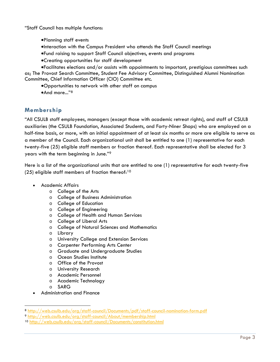"Staff Council has multiple functions:

- •Planning staff events
- •Interaction with the Campus President who attends the Staff Council meetings
- •Fund raising to support Staff Council objectives, events and programs
- •Creating opportunities for staff development

•Facilitates elections and/or assists with appointments to important, prestigious committees such as; The Provost Search Committee, Student Fee Advisory Committee, Distinguished Alumni Nomination Committee, Chief Information Officer (CIO) Committee etc.

- •Opportunities to network with other staff on campus
- •And more..."<sup>[8](#page-3-0)</sup>

## **Membership**

"All CSULB staff employees, managers (except those with academic retreat rights), and staff of CSULB auxiliaries (the CSULB Foundation, Associated Students, and Forty-Niner Shops) who are employed on a half-time basis, or more, with an initial appointment of at least six months or more are eligible to serve as a member of the Council. Each organizational unit shall be entitled to one (1) representative for each twenty-five (25) eligible staff members or fraction thereof. Each representative shall be elected for 3 years with the term beginning in June."[9](#page-3-1)

Here is a list of the organizational units that are entitled to one (1) representative for each twenty-five (25) eligible staff members of fraction thereof:<sup>[10](#page-3-2)</sup>

- Academic Affairs
	- o College of the Arts
	- o College of Business Administration
	- o College of Education
	- o College of Engineering
	- o College of Health and Human Services
	- o College of Liberal Arts
	- o College of Natural Sciences and Mathematics
	- o Library
	- o University College and Extension Services
	- o Carpenter Performing Arts Center
	- o Graduate and Undergraduate Studies
	- o Ocean Studies Institute
	- o Office of the Provost
	- o University Research
	- o Academic Personnel
	- o Academic Technology
	- o SARG
- Administration and Finance

<span id="page-3-0"></span> <sup>8</sup> <http://web.csulb.edu/org/staff-council/Documents/pdf/staff-council-nomination-form.pdf>

<span id="page-3-1"></span><sup>9</sup> <http://web.csulb.edu/org/staff-council/About/membership.html>

<span id="page-3-2"></span><sup>10</sup> <http://web.csulb.edu/org/staff-council/Documents/constitution.html>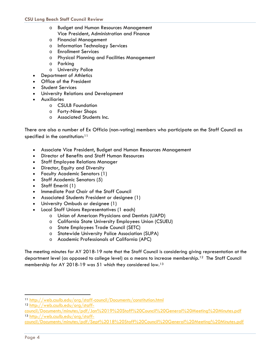- o Budget and Human Resources Management Vice President, Administration and Finance
- o Financial Management
- o Information Technology Services
- o Enrollment Services
- o Physical Planning and Facilities Management
- o Parking
- o University Police
- Department of Athletics
- Office of the President
- Student Services
- University Relations and Development
- Auxiliaries
	- o CSULB Foundation
	- o Forty-Niner Shops
	- o Associated Students Inc.

There are also a number of Ex Officio (non-voting) members who participate on the Staff Council as specified in the constitution: $11$ 

- Associate Vice President, Budget and Human Resources Management
- Director of Benefits and Staff Human Resources
- Staff Employee Relations Manager
- Director, Equity and Diversity
- Faculty Academic Senators (1)
- Staff Academic Senators (5)
- Staff Emeriti (1)
- Immediate Past Chair of the Staff Council
- Associated Students President or designee (1)
- University Ombuds or designee (1)
- Local Staff Unions Representatives (1 each)
	- o Union of American Physicians and Dentists (UAPD)
	- o California State University Employees Union (CSUEU)
	- o State Employees Trade Council (SETC)
	- o Statewide University Police Association (SUPA)
	- o Academic Professionals of California (APC)

The meeting minutes for AY 2018-19 note that the Staff Council is considering giving representation at the department level (as opposed to college level) as a means to increase membership.[12](#page-4-1) The Staff Council membership for AY 2018-19 was 51 which they considered low.[13](#page-4-2)

<span id="page-4-0"></span> <sup>11</sup> <http://web.csulb.edu/org/staff-council/Documents/constitution.html>

<span id="page-4-1"></span><sup>12</sup> [http://web.csulb.edu/org/staff-](http://web.csulb.edu/org/staff-council/Documents/minutes/pdf/Jan%2019%20Staff%20Council%20General%20Meeting%20Minutes.pdf)

<span id="page-4-2"></span>[council/Documents/minutes/pdf/Jan%2019%20Staff%20Council%20General%20Meeting%20Minutes.pdf](http://web.csulb.edu/org/staff-council/Documents/minutes/pdf/Jan%2019%20Staff%20Council%20General%20Meeting%20Minutes.pdf) <sup>13</sup> [http://web.csulb.edu/org/staff-](http://web.csulb.edu/org/staff-council/Documents/minutes/pdf/Sept%2018%20Staff%20Council%20General%20Meeting%20Minutes.pdf)

[council/Documents/minutes/pdf/Sept%2018%20Staff%20Council%20General%20Meeting%20Minutes.pdf](http://web.csulb.edu/org/staff-council/Documents/minutes/pdf/Sept%2018%20Staff%20Council%20General%20Meeting%20Minutes.pdf)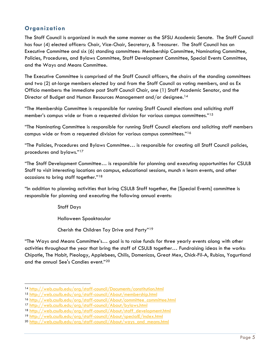## **Organization**

The Staff Council is organized in much the same manner as the SFSU Academic Senate. The Staff Council has four (4) elected officers: Chair, Vice-Chair, Secretary, & Treasurer. The Staff Council has an Executive Committee and six (6) standing committees: Membership Committee, Nominating Committee, Policies, Procedures, and Bylaws Committee, Staff Development Committee, Special Events Committee, and the Ways and Means Committee.

The Executive Committee is comprised of the Staff Council officers, the chairs of the standing committees and two (2) at-large members elected by and from the Staff Council as voting members, and as Ex Officio members: the immediate past Staff Council Chair, one (1) Staff Academic Senator, and the Director of Budget and Human Resources Management and/or designee.<sup>[14](#page-5-0)</sup>

"The Membership Committee is responsible for running Staff Council elections and soliciting staff member's campus wide or from a requested division for various campus committees."[15](#page-5-1)

"The Nominating Committee is responsible for running Staff Council elections and soliciting staff members campus wide or from a requested division for various campus committees."[16](#page-5-2)

"The Policies, Procedures and Bylaws Committee… is responsible for creating all Staff Council policies, procedures and bylaws."[17](#page-5-3)

"The Staff Development Committee… is responsible for planning and executing opportunities for CSULB Staff to visit interesting locations on campus, educational sessions, munch n learn events, and other occasions to bring staff together."[18](#page-5-4)

"In addition to planning activities that bring CSULB Staff together, the [Special Events] committee is responsible for planning and executing the following annual events:

Staff Days

Halloween Spooktacular

Cherish the Children Toy Drive and Party"[19](#page-5-5)

"The Ways and Means Committee's… goal is to raise funds for three yearly events along with other activities throughout the year that bring the staff of CSULB together… Fundraising ideas in the works: Chipotle, The Habit, Pieology, Applebees, Chilis, Domenicos, Great Mex, Chick-Fil-A, Rubios, Yogurtland and the annual See's Candies event."[20](#page-5-6)

<span id="page-5-0"></span> <sup>14</sup> <http://web.csulb.edu/org/staff-council/Documents/constitution.html>

<span id="page-5-1"></span><sup>15</sup> <http://web.csulb.edu/org/staff-council/About/membership.html>

<span id="page-5-2"></span><sup>16</sup> [http://web.csulb.edu/org/staff-council/About/committee\\_committee.html](http://web.csulb.edu/org/staff-council/About/committee_committee.html)

<span id="page-5-3"></span><sup>17</sup> <http://web.csulb.edu/org/staff-council/About/bylaws.html>

<span id="page-5-4"></span><sup>18</sup> [http://web.csulb.edu/org/staff-council/About/staff\\_development.html](http://web.csulb.edu/org/staff-council/About/staff_development.html)

<span id="page-5-5"></span><sup>19</sup> <http://web.csulb.edu/org/staff-council/About/specialE/index.html>

<span id="page-5-6"></span><sup>20</sup> [http://web.csulb.edu/org/staff-council/About/ways\\_and\\_means.html](http://web.csulb.edu/org/staff-council/About/ways_and_means.html)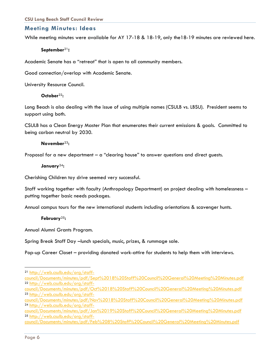#### **Meeting Minutes: Ideas**

While meeting minutes were available for AY 17-18 & 18-19, only the18-19 minutes are reviewed here.

#### **September**[21](#page-6-0)**:**

Academic Senate has a "retreat" that is open to all community members.

Good connection/overlap with Academic Senate.

University Resource Council.

#### **October**[22](#page-6-1)**:**

Long Beach is also dealing with the issue of using multiple names (CSULB vs. LBSU). President seems to support using both.

CSULB has a Clean Energy Master Plan that enumerates their current emissions & goals. Committed to being carbon neutral by 2030.

#### **November**[23](#page-6-2)**:**

Proposal for a new department – a "clearing house" to answer questions and direct guests.

#### **January**[24](#page-6-3)**:**

Cherishing Children toy drive seemed very successful.

Staff working together with faculty (Anthropology Department) on project dealing with homelessness – putting together basic needs packages.

Annual campus tours for the new international students including orientations & scavenger hunts.

#### **February**[25](#page-6-4)**:**

Annual Alumni Grants Program.

Spring Break Staff Day –lunch specials, music, prizes, & rummage sale.

Pop-up Career Closet – providing donated work-attire for students to help them with interviews.

<span id="page-6-2"></span>[council/Documents/minutes/pdf/Oct%2018%20Staff%20Council%20General%20Meeting%20Minutes.pdf](http://web.csulb.edu/org/staff-council/Documents/minutes/pdf/Oct%2018%20Staff%20Council%20General%20Meeting%20Minutes.pdf) <sup>23</sup> [http://web.csulb.edu/org/staff-](http://web.csulb.edu/org/staff-council/Documents/minutes/pdf/Nov%2018%20Staff%20Council%20General%20Meeting%20Minutes.pdf)

<span id="page-6-0"></span> <sup>21</sup> [http://web.csulb.edu/org/staff-](http://web.csulb.edu/org/staff-council/Documents/minutes/pdf/Sept%2018%20Staff%20Council%20General%20Meeting%20Minutes.pdf)

<span id="page-6-1"></span>[council/Documents/minutes/pdf/Sept%2018%20Staff%20Council%20General%20Meeting%20Minutes.pdf](http://web.csulb.edu/org/staff-council/Documents/minutes/pdf/Sept%2018%20Staff%20Council%20General%20Meeting%20Minutes.pdf) <sup>22</sup> [http://web.csulb.edu/org/staff-](http://web.csulb.edu/org/staff-council/Documents/minutes/pdf/Oct%2018%20Staff%20Council%20General%20Meeting%20Minutes.pdf)

<span id="page-6-3"></span>[council/Documents/minutes/pdf/Nov%2018%20Staff%20Council%20General%20Meeting%20Minutes.pdf](http://web.csulb.edu/org/staff-council/Documents/minutes/pdf/Nov%2018%20Staff%20Council%20General%20Meeting%20Minutes.pdf) <sup>24</sup> [http://web.csulb.edu/org/staff-](http://web.csulb.edu/org/staff-council/Documents/minutes/pdf/Jan%2019%20Staff%20Council%20General%20Meeting%20Minutes.pdf)

<span id="page-6-4"></span>[council/Documents/minutes/pdf/Jan%2019%20Staff%20Council%20General%20Meeting%20Minutes.pdf](http://web.csulb.edu/org/staff-council/Documents/minutes/pdf/Jan%2019%20Staff%20Council%20General%20Meeting%20Minutes.pdf) <sup>25</sup> [http://web.csulb.edu/org/staff-](http://web.csulb.edu/org/staff-council/Documents/minutes/pdf/Feb%208%20Staff%20Council%20General%20Meeting%20Minutes.pdf)

[council/Documents/minutes/pdf/Feb%208%20Staff%20Council%20General%20Meeting%20Minutes.pdf](http://web.csulb.edu/org/staff-council/Documents/minutes/pdf/Feb%208%20Staff%20Council%20General%20Meeting%20Minutes.pdf)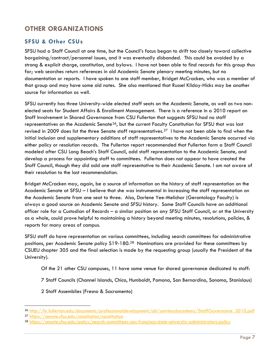## **OTHER ORGANIZATIONS**

## **SFSU & Other CSUs**

SFSU had a Staff Council at one time, but the Council's focus began to drift too closely toward collective bargaining/contract/personnel issues, and it was eventually disbanded. This could be avoided by a strong & explicit charge, constitution, and bylaws. I have not been able to find records for this group thus far; web searches return references in old Academic Senate plenary meeting minutes, but no documentation or reports. I have spoken to one staff member, Bridget McCracken, who was a member of that group and may have some old notes. She also mentioned that Russel Kilday-Hicks may be another source for information as well.

SFSU currently has three University-wide elected staff seats on the Academic Senate, as well as two nonelected seats for Student Affairs & Enrollment Management. There is a reference in a 2010 report on Staff Involvement in Shared Governance from CSU Fullerton that suggests SFSU had no staff representatives on the Academic Senate<sup>26</sup>, but the current Faculty Constitution for SFSU that was last revised in 2009 does list the three Senate staff representatives.<sup>27</sup> I have not been able to find when the initial inclusion and supplementary additions of staff representatives to the Academic Senate occurred via either policy or resolution records. The Fullerton report recommended that Fullerton form a Staff Council modeled after CSU Long Beach's Staff Council, add staff representation to the Academic Senate, and develop a process for appointing staff to committees. Fullerton does not appear to have created the Staff Council, though they did add one staff representative to their Academic Senate. I am not aware of their resolution to the last recommendation.

Bridget McCracken may, again, be a source of information on the history of staff representation on the Academic Senate at SFSU – I believe that she was instrumental in increasing the staff representation on the Academic Senate from one seat to three. Also, Darlene Yee-Melichar (Gerontology Faculty) is always a good source on Academic Senate and SFSU history. Some Staff Councils have an additional officer role for a Custodian of Records – a similar position on any SFSU Staff Council, or at the University as a whole, could prove helpful to maintaining a history beyond meeting minutes, resolutions, policies, & reports for many areas of campus.

SFSU staff do have representation on various committees, including search committees for administrative positions, per Academic Senate policy S19-180.<sup>[28](#page-7-2)</sup> Nominations are provided for these committees by CSUEU chapter 305 and the final selection is made by the requesting group (usually the President of the University).

Of the 21 other CSU campuses, 11 have some venue for shared governance dedicated to staff:

7 Staff Councils (Channel Islands, Chico, Humboldt, Pomona, San Bernardino, Sonoma, Stanislaus)

2 Staff Assemblies (Fresno & Sacramento)

<span id="page-7-0"></span> <sup>26</sup> [http://hr.fullerton.edu/documents/professionaldevelopment/ubi/univleadacademy/StaffGovernance\\_2010.pdf](http://hr.fullerton.edu/documents/professionaldevelopment/ubi/univleadacademy/StaffGovernance_2010.pdf)

<span id="page-7-1"></span><sup>27</sup> <https://senate.sfsu.edu/constitution/constitution>

<span id="page-7-2"></span><sup>28</sup> <https://senate.sfsu.edu/policy/search-committees-san-francisco-state-university-administrators-policy>